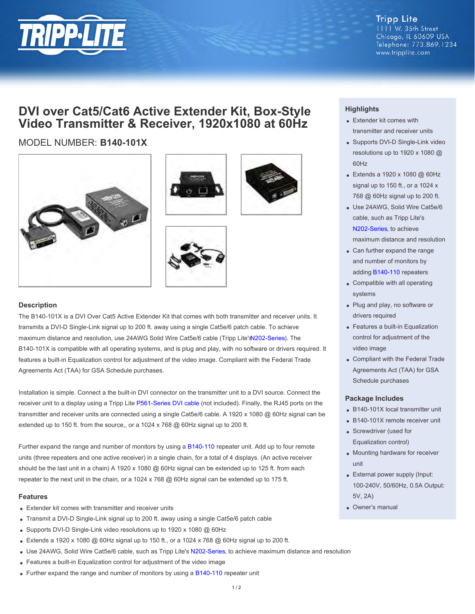

**Tripp Lite** 1111 W. 35th Street Chicago, IL 60609 USA Telephone: 773.869.1234 www.tripplite.com

## **DVI over Cat5/Cat6 Active Extender Kit, Box-Style Video Transmitter & Receiver, 1920x1080 at 60Hz**

### MODEL NUMBER: **B140-101X**









#### **Description**

The B140-101X is a DVI Over Cat5 Active Extender Kit that comes with both transmitter and receiver units. It transmits a DVI-D Single-Link signal up to 200 ft. away using a single Cat5e/6 patch cable. To achieve maximum distance and resolution, use 24AWG Solid Wire Cat5e/6 cable (Tripp Lite'[s N202-Series](http://www.tripplite.com/main/search/type/any/q/n202)). The B140-101X is compatible with all operating systems, and is plug and play, with no software or drivers required. It features a built-in Equalization control for adjustment of the video image. Compliant with the Federal Trade Agreements Act (TAA) for GSA Schedule purchases.

Installation is simple. Connect a the built-in DVI connector on the transmitter unit to a DVI source. Connect the receiver unit to a display using a Tripp Lite [P561-Series DVI cable](http://www.tripplite.com/main/search/type/any/q/p561) (not included). Finally, the RJ45 ports on the transmitter and receiver units are connected using a single Cat5e/6 cable. A 1920 x 1080 @ 60Hz signal can be extended up to 150 ft. from the source,, or a 1024 x 768 @ 60Hz signal up to 200 ft.

Further expand the range and number of monitors by using a [B140-110](http://www.tripplite.com/sku/b140110/) repeater unit. Add up to four remote units (three repeaters and one active receiver) in a single chain, for a total of 4 displays. (An active receiver should be the last unit in a chain) A 1920 x 1080 @ 60Hz signal can be extended up to 125 ft. from each repeater to the next unit in the chain, or a 1024 x 768 @ 60Hz signal can be extended up to 175 ft.

#### **Features**

- Extender kit comes with transmitter and receiver units
- Transmit a DVI-D Single-Link signal up to 200 ft. away using a single Cat5e/6 patch cable
- Supports DVI-D Single-Link video resolutions up to 1920 x 1080 @ 60Hz
- Extends a 1920 x 1080 @ 60Hz signal up to 150 ft., or a 1024 x 768 @ 60Hz signal up to 200 ft.
- Use 24AWG, Solid Wire Cat5e/6 cable, such as Tripp Lite's [N202-Series](http://www.tripplite.com/main/search/type/any/q/n202), to achieve maximum distance and resolution
- Features a built-in Equalization control for adjustment of the video image
- Further expand the range and number of monitors by using a [B140-110](http://www.tripplite.com/sku/b140110/) repeater unit

#### **Highlights**

- Extender kit comes with transmitter and receiver units
- Supports DVI-D Single-Link video resolutions up to 1920 x 1080 @ 60Hz
- Extends a 1920 x 1080 @ 60Hz signal up to 150 ft., or a 1024 x 768 @ 60Hz signal up to 200 ft.
- Use 24AWG, Solid Wire Cat5e/6 cable, such as Tripp Lite's [N202-Series](http://www.tripplite.com/main/search/type/any/q/n202http://www.tripplite.com/main/search/type/any/q/n202), to achieve maximum distance and resolution
- Can further expand the range and number of monitors by adding [B140-110](http://www.tripplite.com/sku/b140110/) repeaters
- Compatible with all operating systems
- Plug and play, no software or drivers required
- Features a built-in Equalization control for adjustment of the video image
- Compliant with the Federal Trade Agreements Act (TAA) for GSA Schedule purchases

#### **Package Includes**

- B140-101X local transmitter unit
- B140-101X remote receiver unit
- Screwdriver (used for Equalization control)
- Mounting hardware for receiver unit
- External power supply (Input: 100-240V, 50/60Hz, 0.5A Output: 5V, 2A)
- Owner's manual